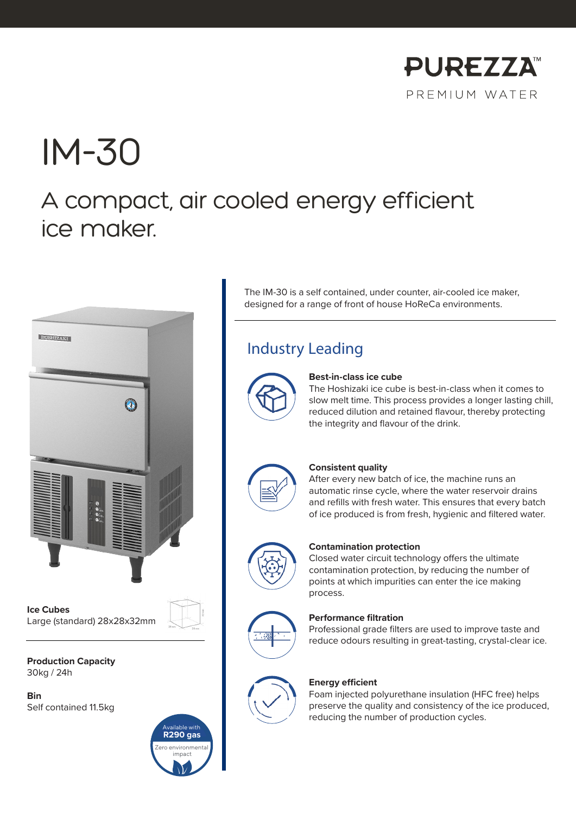

# IM-30

# A compact, air cooled energy efficient ice maker.



**Ice Cubes** Large (standard) 28x28x32mm

**Production Capacity** 30kg / 24h

**Bin** Self contained 11.5kg



The IM-30 is a self contained, under counter, air-cooled ice maker, designed for a range of front of house HoReCa environments.

# Industry Leading



#### **Best-in-class ice cube**

The Hoshizaki ice cube is best-in-class when it comes to slow melt time. This process provides a longer lasting chill, reduced dilution and retained flavour, thereby protecting the integrity and flavour of the drink.



#### **Consistent quality**

After every new batch of ice, the machine runs an automatic rinse cycle, where the water reservoir drains and refills with fresh water. This ensures that every batch of ice produced is from fresh, hygienic and filtered water.



#### **Contamination protection**

Closed water circuit technology offers the ultimate contamination protection, by reducing the number of points at which impurities can enter the ice making process.



### **Performance filtration**

Professional grade filters are used to improve taste and reduce odours resulting in great-tasting, crystal-clear ice.



#### **Energy efficient**

Foam injected polyurethane insulation (HFC free) helps preserve the quality and consistency of the ice produced, reducing the number of production cycles.